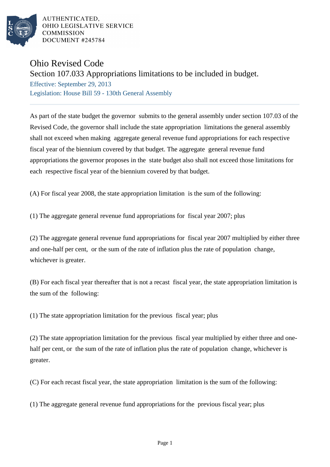

AUTHENTICATED. OHIO LEGISLATIVE SERVICE **COMMISSION** DOCUMENT #245784

## Ohio Revised Code

## Section 107.033 Appropriations limitations to be included in budget.

Effective: September 29, 2013 Legislation: House Bill 59 - 130th General Assembly

As part of the state budget the governor submits to the general assembly under section 107.03 of the Revised Code, the governor shall include the state appropriation limitations the general assembly shall not exceed when making aggregate general revenue fund appropriations for each respective fiscal year of the biennium covered by that budget. The aggregate general revenue fund appropriations the governor proposes in the state budget also shall not exceed those limitations for each respective fiscal year of the biennium covered by that budget.

(A) For fiscal year 2008, the state appropriation limitation is the sum of the following:

(1) The aggregate general revenue fund appropriations for fiscal year 2007; plus

(2) The aggregate general revenue fund appropriations for fiscal year 2007 multiplied by either three and one-half per cent, or the sum of the rate of inflation plus the rate of population change, whichever is greater.

(B) For each fiscal year thereafter that is not a recast fiscal year, the state appropriation limitation is the sum of the following:

(1) The state appropriation limitation for the previous fiscal year; plus

(2) The state appropriation limitation for the previous fiscal year multiplied by either three and onehalf per cent, or the sum of the rate of inflation plus the rate of population change, whichever is greater.

(C) For each recast fiscal year, the state appropriation limitation is the sum of the following:

(1) The aggregate general revenue fund appropriations for the previous fiscal year; plus